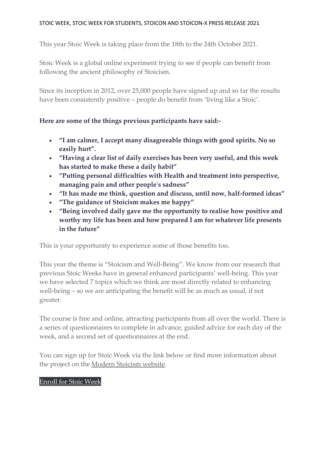## STOIC WEEK, STOIC WEEK FOR STUDENTS, STOICON AND STOICON-X PRESS RELEASE 2021

This year Stoic Week is taking place from the 18th to the 24th October 2021.

Stoic Week is a global online experiment trying to see if people can benefit from following the ancient philosophy of Stoicism.

Since its inception in 2012, over 25,000 people have signed up and so far the results have been consistently positive – people do benefit from 'living like a Stoic'.

# **Here are some of the things previous participants have said:-**

- **"I am calmer, I accept many disagreeable things with good spirits. No so easily hurt".**
- **"Having a clear list of daily exercises has been very useful, and this week has started to make these a daily habit"**
- **"Putting personal difficulties with Health and treatment into perspective, managing pain and other people's sadness"**
- **"It has made me think, question and discuss, until now, half-formed ideas"**
- **"The guidance of Stoicism makes me happy"**
- **"Being involved daily gave me the opportunity to realise how positive and worthy my life has been and how prepared I am for whatever life presents in the future"**

This is your opportunity to experience some of those benefits too.

This year the theme is "Stoicism and Well-Being". We know from our research that previous Stoic Weeks have in general enhanced participants' well-being. This year we have selected 7 topics which we think are most directly related to enhancing well-being – so we are anticipating the benefit will be as much as usual, if not greater.

The course is free and online, attracting participants from all over the world. There is a series of questionnaires to complete in advance, guided advice for each day of the week, and a second set of questionnaires at the end.

You can sign up for Stoic Week via the link below or find more information about the project on the Modern [Stoicism](https://modernstoicism.com/about-stoic-week/) website.

## [Enroll](https://learn.modernstoicism.com/p/stoicweek2021) for Stoic Week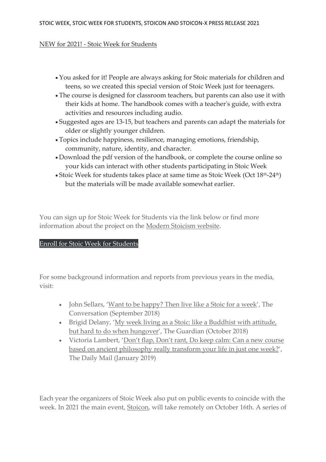#### NEW for 2021! - Stoic Week for Students

- You asked for it! People are always asking for Stoic materials for children and teens, so we created this special version of Stoic Week just for teenagers.
- The course is designed for classroom teachers, but parents can also use it with their kids at home. The handbook comes with a teacher's guide, with extra activities and resources including audio.
- Suggested ages are 13-15, but teachers and parents can adapt the materials for older or slightly younger children.
- Topics include happiness, resilience, managing emotions, friendship, community, nature, identity, and character.
- Download the pdf version of the handbook, or complete the course online so your kids can interact with other students participating in Stoic Week
- Stoic Week for students takes place at same time as Stoic Week (Oct  $18<sup>th</sup>-24<sup>th</sup>$ ) but the materials will be made available somewhat earlier.

You can sign up for Stoic Week for Students via the link below or find more information about the project on the Modern [Stoicism](https://modernstoicism.com/about-stoic-week/) website.

## Enroll for Stoic Week for [Students](https://learn.modernstoicism.com/p/stoic-week-for-students-21)

For some background information and reports from previous years in the media, visit:

- John Sellars, 'Want to be [happy?](https://theconversation.com/want-to-be-happy-then-live-like-a-stoic-for-a-week-103117) Then live like a Stoic for a week', The Conversation (September 2018)
- Brigid Delany, 'My week living as a Stoic: like a [Buddhist](https://www.theguardian.com/commentisfree/2018/oct/11/my-week-living-as-a-stoic-like-a-buddhist-with-attitude-but-hard-to-do-hungover) with attitude, but hard to do when [hungover](https://www.theguardian.com/commentisfree/2018/oct/11/my-week-living-as-a-stoic-like-a-buddhist-with-attitude-but-hard-to-do-hungover)', The Guardian (October 2018)
- Victoria Lambert, 'Don't flap, Don't rant, Do keep calm: Can a new [course](https://www.dailymail.co.uk/femail/article-6587241/Can-new-course-based-ancient-philosophy-really-transform-life-just-one-week.html) based on ancient [philosophy](https://www.dailymail.co.uk/femail/article-6587241/Can-new-course-based-ancient-philosophy-really-transform-life-just-one-week.html) really transform your life in just one week?', The Daily Mail (January 2019)

Each year the organizers of Stoic Week also put on public events to coincide with the week. In 2021 the main event, [Stoicon,](https://www.eventbrite.ca/e/stoicon-2019-in-athens-the-modern-stoicism-conference-tickets-61401259821) will take remotely on October 16th. A series of